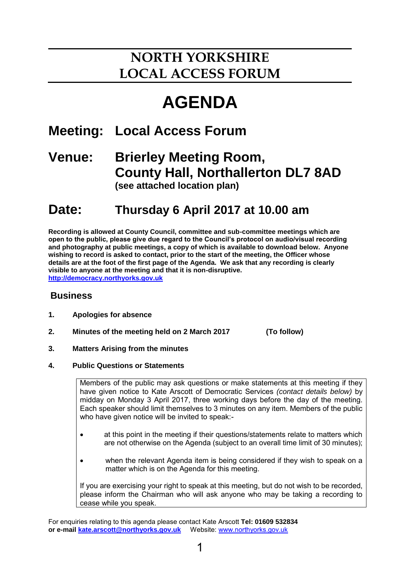# **NORTH YORKSHIRE LOCAL ACCESS FORUM**

# **AGENDA**

## **Meeting: Local Access Forum**

### **Venue: Brierley Meeting Room, County Hall, Northallerton DL7 8AD (see attached location plan)**

## **Date: Thursday 6 April 2017 at 10.00 am**

**Recording is allowed at County Council, committee and sub-committee meetings which are open to the public, please give due regard to the Council's protocol on audio/visual recording and photography at public meetings, a copy of which is available to download below. Anyone wishing to record is asked to contact, prior to the start of the meeting, the Officer whose details are at the foot of the first page of the Agenda. We ask that any recording is clearly visible to anyone at the meeting and that it is non-disruptive. [http://democracy.northyorks.gov.uk](http://democracy.northyorks.gov.uk/)**

#### **Business**

- **1. Apologies for absence**
- **2. Minutes of the meeting held on 2 March 2017 (To follow)**

- **3. Matters Arising from the minutes**
- **4. Public Questions or Statements**

Members of the public may ask questions or make statements at this meeting if they have given notice to Kate Arscott of Democratic Services *(contact details below)* by midday on Monday 3 April 2017, three working days before the day of the meeting. Each speaker should limit themselves to 3 minutes on any item. Members of the public who have given notice will be invited to speak:-

- at this point in the meeting if their questions/statements relate to matters which are not otherwise on the Agenda (subject to an overall time limit of 30 minutes);
- when the relevant Agenda item is being considered if they wish to speak on a matter which is on the Agenda for this meeting.

If you are exercising your right to speak at this meeting, but do not wish to be recorded, please inform the Chairman who will ask anyone who may be taking a recording to cease while you speak.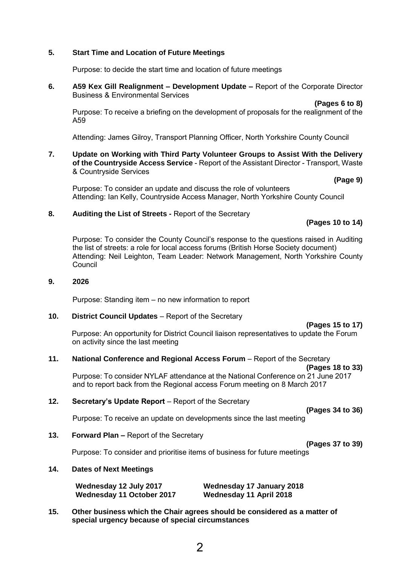#### **5. Start Time and Location of Future Meetings**

Purpose: to decide the start time and location of future meetings

**6. A59 Kex Gill Realignment – Development Update –** Report of the Corporate Director Business & Environmental Services

**(Pages 6 to 8)** 

Purpose: To receive a briefing on the development of proposals for the realignment of the A59

Attending: James Gilroy, Transport Planning Officer, North Yorkshire County Council

**7. Update on Working with Third Party Volunteer Groups to Assist With the Delivery of the Countryside Access Service** - Report of the Assistant Director - Transport, Waste & Countryside Services

 **(Page 9)**

Purpose: To consider an update and discuss the role of volunteers Attending: Ian Kelly, Countryside Access Manager, North Yorkshire County Council

#### **8. Auditing the List of Streets -** Report of the Secretary

#### **(Pages 10 to 14)**

Purpose: To consider the County Council's response to the questions raised in Auditing the list of streets: a role for local access forums (British Horse Society document) Attending: Neil Leighton, Team Leader: Network Management, North Yorkshire County Council

#### **9. 2026**

Purpose: Standing item – no new information to report

#### **10.** District Council Updates – Report of the Secretary

#### **(Pages 15 to 17)**

Purpose: An opportunity for District Council liaison representatives to update the Forum on activity since the last meeting

#### **11. National Conference and Regional Access Forum – Report of the Secretary**

**(Pages 18 to 33)**

**(Pages 34 to 36)**

Purpose: To consider NYLAF attendance at the National Conference on 21 June 2017 and to report back from the Regional access Forum meeting on 8 March 2017

#### **12.** Secretary's Update Report – Report of the Secretary

Purpose: To receive an update on developments since the last meeting

**13. Forward Plan –** Report of the Secretary

**(Pages 37 to 39)** 

Purpose: To consider and prioritise items of business for future meetings

#### **14. Dates of Next Meetings**

**Wednesday 12 July 2017 Wednesday 17 January 2018 Wednesday 11 October 2017 Wednesday 11 April 2018**

**15. Other business which the Chair agrees should be considered as a matter of special urgency because of special circumstances**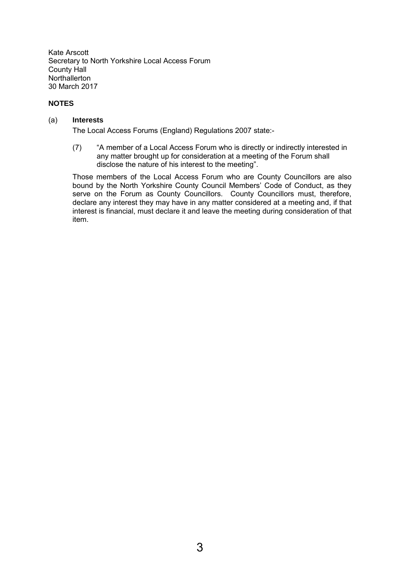Kate Arscott Secretary to North Yorkshire Local Access Forum County Hall **Northallerton** 30 March 2017

#### **NOTES**

#### (a) **Interests**

The Local Access Forums (England) Regulations 2007 state:-

(7) "A member of a Local Access Forum who is directly or indirectly interested in any matter brought up for consideration at a meeting of the Forum shall disclose the nature of his interest to the meeting".

Those members of the Local Access Forum who are County Councillors are also bound by the North Yorkshire County Council Members' Code of Conduct, as they serve on the Forum as County Councillors. County Councillors must, therefore, declare any interest they may have in any matter considered at a meeting and, if that interest is financial, must declare it and leave the meeting during consideration of that item.